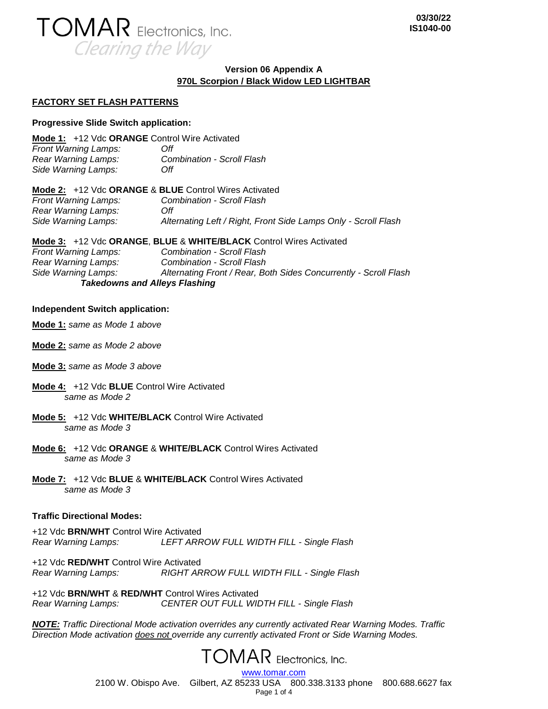

# **Version 06 Appendix A 970L Scorpion / Black Widow LED LIGHTBAR**

### **FACTORY SET FLASH PATTERNS**

#### **Progressive Slide Switch application:**

**Mode 1:** +12 Vdc **ORANGE** Control Wire Activated *Front Warning Lamps: Off Rear Warning Lamps: Combination - Scroll Flash Side Warning Lamps: Off*

| <b>Mode 2:</b> +12 Vdc <b>ORANGE &amp; BLUE</b> Control Wires Activated |                                                                |
|-------------------------------------------------------------------------|----------------------------------------------------------------|
| <b>Front Warning Lamps:</b>                                             | Combination - Scroll Flash                                     |
| Rear Warning Lamps:                                                     | Off                                                            |
| Side Warning Lamps:                                                     | Alternating Left / Right, Front Side Lamps Only - Scroll Flash |

**Mode 3:** +12 Vdc **ORANGE**, **BLUE** & **WHITE/BLACK** Control Wires Activated *Front Warning Lamps: Combination - Scroll Flash Rear Warning Lamps: Combination - Scroll Flash Side Warning Lamps: Alternating Front / Rear, Both Sides Concurrently - Scroll Flash Takedowns and Alleys Flashing*

#### **Independent Switch application:**

**Mode 1:** *same as Mode 1 above*

- **Mode 2:** *same as Mode 2 above*
- **Mode 3:** *same as Mode 3 above*
- **Mode 4:** +12 Vdc **BLUE** Control Wire Activated *same as Mode 2*
- **Mode 5:** +12 Vdc **WHITE/BLACK** Control Wire Activated *same as Mode 3*
- **Mode 6:** +12 Vdc **ORANGE** & **WHITE/BLACK** Control Wires Activated *same as Mode 3*
- **Mode 7:** +12 Vdc **BLUE** & **WHITE/BLACK** Control Wires Activated *same as Mode 3*

### **Traffic Directional Modes:**

+12 Vdc **BRN/WHT** Control Wire Activated *Rear Warning Lamps: LEFT ARROW FULL WIDTH FILL - Single Flash*

+12 Vdc **RED/WHT** Control Wire Activated *Rear Warning Lamps: RIGHT ARROW FULL WIDTH FILL - Single Flash*

+12 Vdc **BRN/WHT** & **RED/WHT** Control Wires Activated *Rear Warning Lamps: CENTER OUT FULL WIDTH FILL - Single Flash*

*NOTE: Traffic Directional Mode activation overrides any currently activated Rear Warning Modes. Traffic Direction Mode activation does not override any currently activated Front or Side Warning Modes.*

**TOMAR** Electronics, Inc.

[www.tomar.com](http://www.tomar.com/) 2100 W. Obispo Ave. Gilbert, AZ 85233 USA 800.338.3133 phone 800.688.6627 fax Page 1 of 4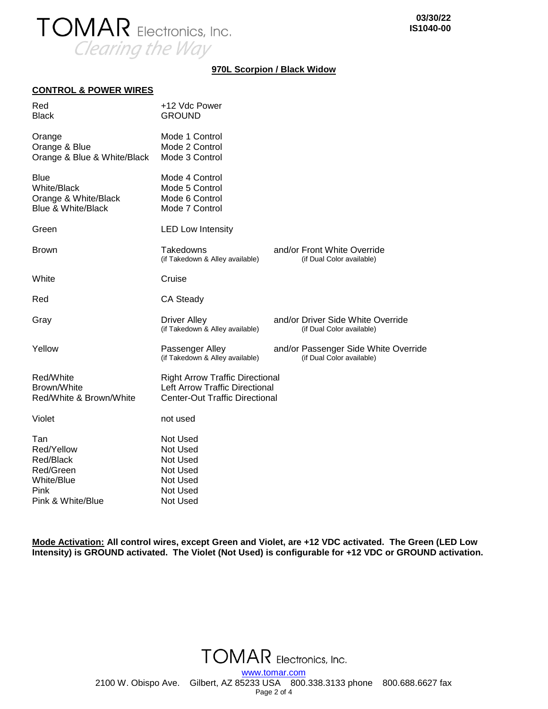

## **970L Scorpion / Black Widow**

#### **CONTROL & POWER WIRES**

| Red<br><b>Black</b>                                                                        | +12 Vdc Power<br><b>GROUND</b>                                                                                           |  |                                                                   |
|--------------------------------------------------------------------------------------------|--------------------------------------------------------------------------------------------------------------------------|--|-------------------------------------------------------------------|
| Orange<br>Orange & Blue<br>Orange & Blue & White/Black                                     | Mode 1 Control<br>Mode 2 Control<br>Mode 3 Control                                                                       |  |                                                                   |
| <b>Blue</b><br><b>White/Black</b><br>Orange & White/Black<br><b>Blue &amp; White/Black</b> | Mode 4 Control<br>Mode 5 Control<br>Mode 6 Control<br>Mode 7 Control                                                     |  |                                                                   |
| Green                                                                                      | <b>LED Low Intensity</b>                                                                                                 |  |                                                                   |
| <b>Brown</b>                                                                               | Takedowns<br>(if Takedown & Alley available)                                                                             |  | and/or Front White Override<br>(if Dual Color available)          |
| White                                                                                      | Cruise                                                                                                                   |  |                                                                   |
| Red                                                                                        | CA Steady                                                                                                                |  |                                                                   |
| Gray                                                                                       | <b>Driver Alley</b><br>(if Takedown & Alley available)                                                                   |  | and/or Driver Side White Override<br>(if Dual Color available)    |
| Yellow                                                                                     | Passenger Alley<br>(if Takedown & Alley available)                                                                       |  | and/or Passenger Side White Override<br>(if Dual Color available) |
| Red/White<br>Brown/White<br>Red/White & Brown/White                                        | <b>Right Arrow Traffic Directional</b><br><b>Left Arrow Traffic Directional</b><br><b>Center-Out Traffic Directional</b> |  |                                                                   |
| Violet                                                                                     | not used                                                                                                                 |  |                                                                   |
| Tan<br>Red/Yellow<br>Red/Black<br>Red/Green<br>White/Blue                                  | Not Used<br>Not Used<br>Not Used<br>Not Used<br>Not Used                                                                 |  |                                                                   |
| Pink<br>Pink & White/Blue                                                                  | Not Used<br><b>Not Used</b>                                                                                              |  |                                                                   |

**Mode Activation: All control wires, except Green and Violet, are +12 VDC activated. The Green (LED Low Intensity) is GROUND activated. The Violet (Not Used) is configurable for +12 VDC or GROUND activation.**

> **TOMAR** Electronics, Inc. [www.tomar.com](http://www.tomar.com/) 2100 W. Obispo Ave. Gilbert, AZ 85233 USA 800.338.3133 phone 800.688.6627 fax Page 2 of 4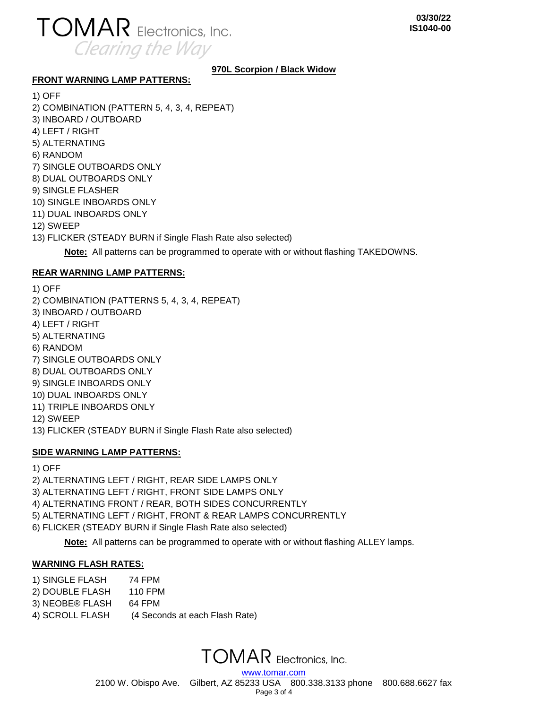

# **970L Scorpion / Black Widow**

### **FRONT WARNING LAMP PATTERNS:**

1) OFF 2) COMBINATION (PATTERN 5, 4, 3, 4, REPEAT) 3) INBOARD / OUTBOARD 4) LEFT / RIGHT 5) ALTERNATING 6) RANDOM 7) SINGLE OUTBOARDS ONLY 8) DUAL OUTBOARDS ONLY 9) SINGLE FLASHER 10) SINGLE INBOARDS ONLY 11) DUAL INBOARDS ONLY 12) SWEEP 13) FLICKER (STEADY BURN if Single Flash Rate also selected)

**Note:** All patterns can be programmed to operate with or without flashing TAKEDOWNS.

# **REAR WARNING LAMP PATTERNS:**

1) OFF 2) COMBINATION (PATTERNS 5, 4, 3, 4, REPEAT) 3) INBOARD / OUTBOARD 4) LEFT / RIGHT 5) ALTERNATING 6) RANDOM 7) SINGLE OUTBOARDS ONLY 8) DUAL OUTBOARDS ONLY 9) SINGLE INBOARDS ONLY 10) DUAL INBOARDS ONLY 11) TRIPLE INBOARDS ONLY 12) SWEEP 13) FLICKER (STEADY BURN if Single Flash Rate also selected)

# **SIDE WARNING LAMP PATTERNS:**

1) OFF

2) ALTERNATING LEFT / RIGHT, REAR SIDE LAMPS ONLY

3) ALTERNATING LEFT / RIGHT, FRONT SIDE LAMPS ONLY

4) ALTERNATING FRONT / REAR, BOTH SIDES CONCURRENTLY

5) ALTERNATING LEFT / RIGHT, FRONT & REAR LAMPS CONCURRENTLY

6) FLICKER (STEADY BURN if Single Flash Rate also selected)

**Note:** All patterns can be programmed to operate with or without flashing ALLEY lamps.

# **WARNING FLASH RATES:**

- 1) SINGLE FLASH 74 FPM
- 2) DOUBLE FLASH 110 FPM
- 3) NEOBE® FLASH 64 FPM
- 4) SCROLL FLASH (4 Seconds at each Flash Rate)

**TOMAR** Electronics, Inc. [www.tomar.com](http://www.tomar.com/)

2100 W. Obispo Ave. Gilbert, AZ 85233 USA 800.338.3133 phone 800.688.6627 fax Page 3 of 4